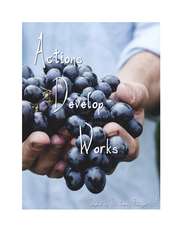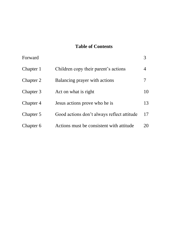# **Table of Contents**

| Forward   |                                            | 3  |
|-----------|--------------------------------------------|----|
| Chapter 1 | Children copy their parent's actions       | 4  |
| Chapter 2 | Balancing prayer with actions              | 7  |
| Chapter 3 | Act on what is right                       | 10 |
| Chapter 4 | Jesus actions prove who he is              | 13 |
| Chapter 5 | Good actions don't always reflect attitude | 17 |
| Chapter 6 | Actions must be consistent with attitude   | 20 |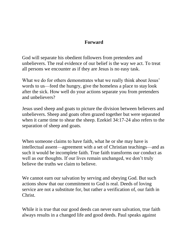#### **Forward**

God will separate his obedient followers from pretenders and unbelievers. The real evidence of our belief is the way we act. To treat all persons we encounter as if they are Jesus is no easy task.

What we do for others demonstrates what we really think about Jesus' words to us—feed the hungry, give the homeless a place to stay look after the sick. How well do your actions separate you from pretenders and unbelievers?

Jesus used sheep and goats to picture the division between believers and unbelievers. Sheep and goats often grazed together but were separated when it came time to shear the sheep. Ezekiel 34:17-24 also refers to the separation of sheep and goats.

When someone claims to have faith, what he or she may have is intellectual assent—agreement with a set of Christian teachings—and as such it would be incomplete faith. True faith transforms our conduct as well as our thoughts. If our lives remain unchanged, we don't truly believe the truths we claim to believe.

We cannot earn our salvation by serving and obeying God. But such actions show that our commitment to God is real. Deeds of loving service are not a substitute for, but rather a verification of, our faith in Christ.

While it is true that our good deeds can never earn salvation, true faith always results in a changed life and good deeds. Paul speaks against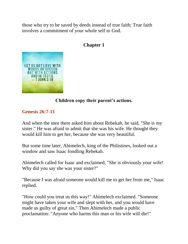those who try to be saved by deeds instead of true faith; True faith involves a commitment of your whole self to God.

# **Chapter 1**



# **Children copy their parent's actions.**

### **Genesis 26:7-11**

And when the men there asked him about Rebekah, he said, "She is my sister." He was afraid to admit that she was his wife. He thought they would kill him to get her, because she was very beautiful.

But some time later, Abimelech, king of the Philistines, looked out a window and saw Isaac fondling Rebekah.

Abimelech called for Isaac and exclaimed, "She is obviously your wife! Why did you say she was your sister?"

"Because I was afraid someone would kill me to get her from me," Isaac replied.

"How could you treat us this way!" Abimelech exclaimed. "Someone might have taken your wife and slept with her, and you would have made us guilty of great sin." Then Abimelech made a public proclamation: "Anyone who harms this man or his wife will die!"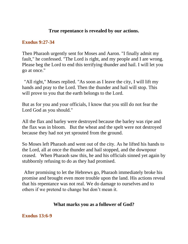### **True repentance is revealed by our actions.**

#### **Exodus 9:27-34**

Then Pharaoh urgently sent for Moses and Aaron. "I finally admit my fault," he confessed. "The Lord is right, and my people and I are wrong. Please beg the Lord to end this terrifying thunder and hail. I will let you go at once."

"All right," Moses replied. "As soon as I leave the city, I will lift my hands and pray to the Lord. Then the thunder and hail will stop. This will prove to you that the earth belongs to the Lord.

But as for you and your officials, I know that you still do not fear the Lord God as you should."

All the flax and barley were destroyed because the barley was ripe and the flax was in bloom. But the wheat and the spelt were not destroyed because they had not yet sprouted from the ground.

So Moses left Pharaoh and went out of the city. As he lifted his hands to the Lord, all at once the thunder and hail stopped, and the downpour ceased. When Pharaoh saw this, he and his officials sinned yet again by stubbornly refusing to do as they had promised.

After promising to let the Hebrews go, Pharaoh immediately broke his promise and brought even more trouble upon the land. His actions reveal that his repentance was not real. We do damage to ourselves and to others if we pretend to change but don't mean it.

# **What marks you as a follower of God?**

### **Exodus 13:6-9**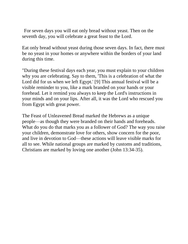For seven days you will eat only bread without yeast. Then on the seventh day, you will celebrate a great feast to the Lord.

Eat only bread without yeast during those seven days. In fact, there must be no yeast in your homes or anywhere within the borders of your land during this time.

"During these festival days each year, you must explain to your children why you are celebrating. Say to them, 'This is a celebration of what the Lord did for us when we left Egypt.' [9] This annual festival will be a visible reminder to you, like a mark branded on your hands or your forehead. Let it remind you always to keep the Lord's instructions in your minds and on your lips. After all, it was the Lord who rescued you from Egypt with great power.

The Feast of Unleavened Bread marked the Hebrews as a unique people—as though they were branded on their hands and foreheads. What do you do that marks you as a follower of God? The way you raise your children, demonstrate love for others, show concern for the poor, and live in devotion to God—these actions will leave visible marks for all to see. While national groups are marked by customs and traditions, Christians are marked by loving one another (John 13:34-35).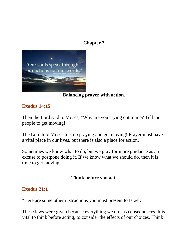### **Chapter 2**



### **Balancing prayer with action.**

### **Exodus 14:15**

Then the Lord said to Moses, "Why are you crying out to me? Tell the people to get moving!

The Lord told Moses to stop praying and get moving! Prayer must have a vital place in our lives, but there is also a place for action.

Sometimes we know what to do, but we pray for more guidance as an excuse to postpone doing it. If we know what we should do, then it is time to get moving.

#### **Think before you act.**

### **Exodus 21:1**

"Here are some other instructions you must present to Israel:

These laws were given because everything we do has consequences. It is vital to think before acting, to consider the effects of our choices. Think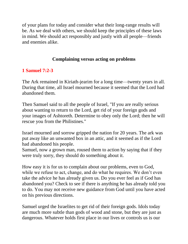of your plans for today and consider what their long-range results will be. As we deal with others, we should keep the principles of these laws in mind. We should act responsibly and justly with all people—friends and enemies alike.

# **Complaining versus acting on problems**

# **1 Samuel 7:2-3**

The Ark remained in Kiriath-jearim for a long time—twenty years in all. During that time, all Israel mourned because it seemed that the Lord had abandoned them.

Then Samuel said to all the people of Israel, "If you are really serious about wanting to return to the Lord, get rid of your foreign gods and your images of Ashtoreth. Determine to obey only the Lord; then he will rescue you from the Philistines."

Israel mourned and sorrow gripped the nation for 20 years. The ark was put away like an unwanted box in an attic, and it seemed as if the Lord had abandoned his people.

Samuel, now a grown man, roused them to action by saying that if they were truly sorry, they should do something about it.

How easy it is for us to complain about our problems, even to God, while we refuse to act, change, and do what he requires. We don't even take the advice he has already given us. Do you ever feel as if God has abandoned you? Check to see if there is anything he has already told you to do. You may not receive new guidance from God until you have acted on his previous directions.

Samuel urged the Israelites to get rid of their foreign gods. Idols today are much more subtle than gods of wood and stone, but they are just as dangerous. Whatever holds first place in our lives or controls us is our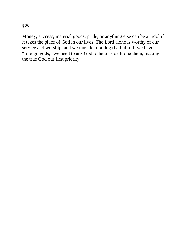god.

Money, success, material goods, pride, or anything else can be an idol if it takes the place of God in our lives. The Lord alone is worthy of our service and worship, and we must let nothing rival him. If we have "foreign gods," we need to ask God to help us dethrone them, making the true God our first priority.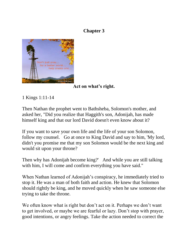# **Chapter 3**



**Act on what's right.**

1 Kings 1:11-14

Then Nathan the prophet went to Bathsheba, Solomon's mother, and asked her, "Did you realize that Haggith's son, Adonijah, has made himself king and that our lord David doesn't even know about it?

If you want to save your own life and the life of your son Solomon, follow my counsel. Go at once to King David and say to him, 'My lord, didn't you promise me that my son Solomon would be the next king and would sit upon your throne?

Then why has Adonijah become king?' And while you are still talking with him, I will come and confirm everything you have said."

When Nathan learned of Adonijah's conspiracy, he immediately tried to stop it. He was a man of both faith and action. He knew that Solomon should rightly be king, and he moved quickly when he saw someone else trying to take the throne.

We often know what is right but don't act on it. Perhaps we don't want to get involved, or maybe we are fearful or lazy. Don't stop with prayer, good intentions, or angry feelings. Take the action needed to correct the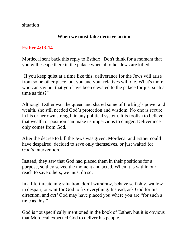situation

### **When we must take decisive action**

### **Esther 4:13-14**

Mordecai sent back this reply to Esther: "Don't think for a moment that you will escape there in the palace when all other Jews are killed.

If you keep quiet at a time like this, deliverance for the Jews will arise from some other place, but you and your relatives will die. What's more, who can say but that you have been elevated to the palace for just such a time as this?"

Although Esther was the queen and shared some of the king's power and wealth, she still needed God's protection and wisdom. No one is secure in his or her own strength in any political system. It is foolish to believe that wealth or position can make us impervious to danger. Deliverance only comes from God.

After the decree to kill the Jews was given, Mordecai and Esther could have despaired, decided to save only themselves, or just waited for God's intervention.

Instead, they saw that God had placed them in their positions for a purpose, so they seized the moment and acted. When it is within our reach to save others, we must do so.

In a life-threatening situation, don't withdraw, behave selfishly, wallow in despair, or wait for God to fix everything. Instead, ask God for his direction, and *act!* God may have placed you where you are "for such a time as this."

God is not specifically mentioned in the book of Esther, but it is obvious that Mordecai expected God to deliver his people.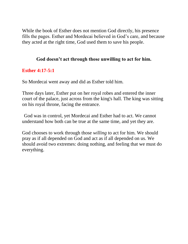While the book of Esther does not mention God directly, his presence fills the pages. Esther and Mordecai believed in God's care, and because they acted at the right time, God used them to save his people.

### **God doesn't act through those unwilling to act for him.**

## **Esther 4:17-5:1**

So Mordecai went away and did as Esther told him.

Three days later, Esther put on her royal robes and entered the inner court of the palace, just across from the king's hall. The king was sitting on his royal throne, facing the entrance.

God was in control, yet Mordecai and Esther had to act. We cannot understand how both can be true at the same time, and yet they are.

God chooses to work through those *willing* to act for him. We should pray as if all depended on God and act as if all depended on us. We should avoid two extremes: doing nothing, and feeling that we must do everything.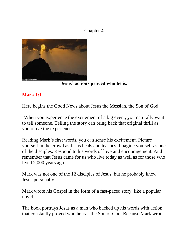## Chapter 4



**Jesus' actions proved who he is.**

# **Mark 1:1**

Here begins the Good News about Jesus the Messiah, the Son of God.

When you experience the excitement of a big event, you naturally want to tell someone. Telling the story can bring back that original thrill as you relive the experience.

Reading Mark's first words, you can sense his excitement. Picture yourself in the crowd as Jesus heals and teaches. Imagine yourself as one of the disciples. Respond to his words of love and encouragement. And remember that Jesus came for us who live today as well as for those who lived 2,000 years ago.

Mark was not one of the 12 disciples of Jesus, but he probably knew Jesus personally.

Mark wrote his Gospel in the form of a fast-paced story, like a popular novel.

The book portrays Jesus as a man who backed up his words with action that constantly proved who he is—the Son of God. Because Mark wrote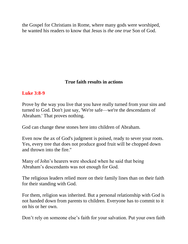the Gospel for Christians in Rome, where many gods were worshiped, he wanted his readers to know that Jesus is *the one true* Son of God.

# **True faith results in actions**

## **Luke 3:8-9**

Prove by the way you live that you have really turned from your sins and turned to God. Don't just say, 'We're safe—we're the descendants of Abraham.' That proves nothing.

God can change these stones here into children of Abraham.

Even now the ax of God's judgment is poised, ready to sever your roots. Yes, every tree that does not produce good fruit will be chopped down and thrown into the fire."

Many of John's hearers were shocked when he said that being Abraham's descendants was not enough for God.

The religious leaders relied more on their family lines than on their faith for their standing with God.

For them, religion was inherited. But a personal relationship with God is not handed down from parents to children. Everyone has to commit to it on his or her own.

Don't rely on someone else's faith for your salvation. Put your own faith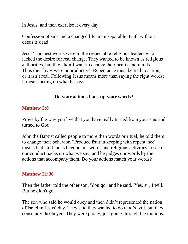in Jesus, and then exercise it every day.

Confession of sins and a changed life are inseparable. Faith without deeds is dead.

Jesus' harshest words were to the respectable religious leaders who lacked the desire for real change. They wanted to be known as religious authorities, but they didn't want to change their hearts and minds. Thus their lives were unproductive. Repentance must be tied to action, or it isn't real. Following Jesus means more than saying the right words; it means acting on what he says.

## **Do your actions back up your words?**

### **Matthew 3:8**

Prove by the way you live that you have really turned from your sins and turned to God.

John the Baptist called people to more than words or ritual; he told them to change their behavior. "Produce fruit in keeping with repentance" means that God looks beyond our words and religious activities to see if our conduct backs up what we say, and he judges our words by the actions that accompany them. Do your actions match your words?

#### **Matthew 21:30**

Then the father told the other son, 'You go,' and he said, 'Yes, sir, I will.' But he didn't go.

The son who said he would obey and then didn't represented the nation of Israel in Jesus' day. They said they wanted to do God's will, but they constantly disobeyed. They were phony, just going through the motions.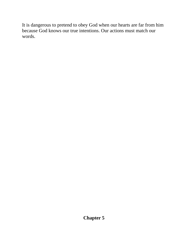It is dangerous to pretend to obey God when our hearts are far from him because God knows our true intentions. Our actions must match our words.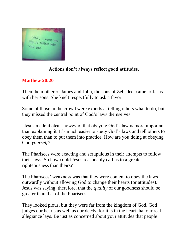

# **Actions don't always reflect good attitudes.**

# **Matthew 20:20**

Then the mother of James and John, the sons of Zebedee, came to Jesus with her sons. She knelt respectfully to ask a favor.

Some of those in the crowd were experts at telling others what to do, but they missed the central point of God's laws themselves.

Jesus made it clear, however, that obeying God's law is more important than explaining it. It's much easier to study God's laws and tell others to obey them than to put them into practice. How are you doing at obeying God *yourself?*

The Pharisees were exacting and scrupulous in their attempts to follow their laws. So how could Jesus reasonably call us to a greater righteousness than theirs?

The Pharisees' weakness was that they were content to obey the laws outwardly without allowing God to change their hearts (or attitudes). Jesus was saying, therefore, that the *quality* of our goodness should be greater than that of the Pharisees.

They looked pious, but they were far from the kingdom of God. God judges our hearts as well as our deeds, for it is in the heart that our real allegiance lays. Be just as concerned about your attitudes that people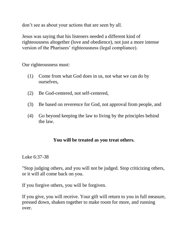don't see as about your actions that are seen by all.

Jesus was saying that his listeners needed a different kind of righteousness altogether (love and obedience), not just a more intense version of the Pharisees' righteousness (legal compliance).

Our righteousness must:

- (1) Come from what God does in us, not what we can do by ourselves,
- (2) Be God-centered, not self-centered,
- (3) Be based on reverence for God, not approval from people, and
- (4) Go beyond keeping the law to living by the principles behind the law.

### **You will be treated as you treat others.**

Luke 6:37-38

"Stop judging others, and you will not be judged. Stop criticizing others, or it will all come back on you.

If you forgive others, you will be forgiven.

If you give, you will receive. Your gift will return to you in full measure, pressed down, shaken together to make room for more, and running over.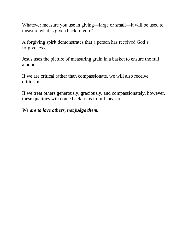Whatever measure you use in giving—large or small—it will be used to measure what is given back to you."

A forgiving spirit demonstrates that a person has received God's forgiveness.

Jesus uses the picture of measuring grain in a basket to ensure the full amount.

If we are critical rather than compassionate, we will also receive criticism.

If we treat others generously, graciously, and compassionately, however, these qualities will come back to us in full measure.

#### *We are to love others, not judge them.*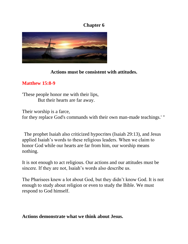## **Chapter 6**



### **Actions must be consistent with attitudes.**

# **Matthew 15:8-9**

'These people honor me with their lips, But their hearts are far away.

Their worship is a farce, for they replace God's commands with their own man-made teachings.' "

The prophet Isaiah also criticized hypocrites (Isaiah 29:13), and Jesus applied Isaiah's words to these religious leaders. When we claim to honor God while our hearts are far from him, our worship means nothing.

It is not enough to act religious. Our actions and our attitudes must be sincere. If they are not, Isaiah's words also describe us.

The Pharisees knew a lot about God, but they didn't know God. It is not enough to study about religion or even to study the Bible. We must respond to God himself.

#### **Actions demonstrate what we think about Jesus.**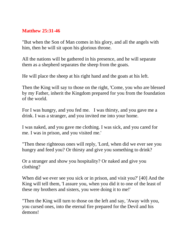### **Matthew 25:31-46**

"But when the Son of Man comes in his glory, and all the angels with him, then he will sit upon his glorious throne.

All the nations will be gathered in his presence, and he will separate them as a shepherd separates the sheep from the goats.

He will place the sheep at his right hand and the goats at his left.

Then the King will say to those on the right, 'Come, you who are blessed by my Father, inherit the Kingdom prepared for you from the foundation of the world.

For I was hungry, and you fed me. I was thirsty, and you gave me a drink. I was a stranger, and you invited me into your home.

I was naked, and you gave me clothing. I was sick, and you cared for me. I was in prison, and you visited me.'

"Then these righteous ones will reply, 'Lord, when did we ever see you hungry and feed you? Or thirsty and give you something to drink?

Or a stranger and show you hospitality? Or naked and give you clothing?

When did we ever see you sick or in prison, and visit you?' [40] And the King will tell them, 'I assure you, when you did it to one of the least of these my brothers and sisters, you were doing it to me!'

"Then the King will turn to those on the left and say, 'Away with you, you cursed ones, into the eternal fire prepared for the Devil and his demons!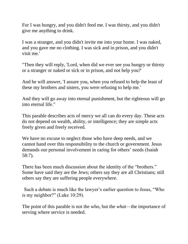For I was hungry, and you didn't feed me. I was thirsty, and you didn't give me anything to drink.

I was a stranger, and you didn't invite me into your home. I was naked, and you gave me no clothing. I was sick and in prison, and you didn't visit me.'

"Then they will reply, 'Lord, when did we ever see you hungry or thirsty or a stranger or naked or sick or in prison, and not help you?'

And he will answer, 'I assure you, when you refused to help the least of these my brothers and sisters, you were refusing to help me.'

And they will go away into eternal punishment, but the righteous will go into eternal life."

This parable describes acts of mercy we all can do every day. These acts do not depend on wealth, ability, or intelligence; they are simple acts freely given and freely received.

We have no excuse to neglect those who have deep needs, and we cannot hand over this responsibility to the church or government. Jesus demands our personal involvement in caring for others' needs (Isaiah 58:7).

There has been much discussion about the identity of the "brothers." Some have said they are the Jews; others say they are all Christians; still others say they are suffering people everywhere.

Such a debate is much like the lawyer's earlier question to Jesus, "Who is my neighbor?" (Luke 10:29).

The point of this parable is not the who, but the *what*—the importance of serving where service is needed.